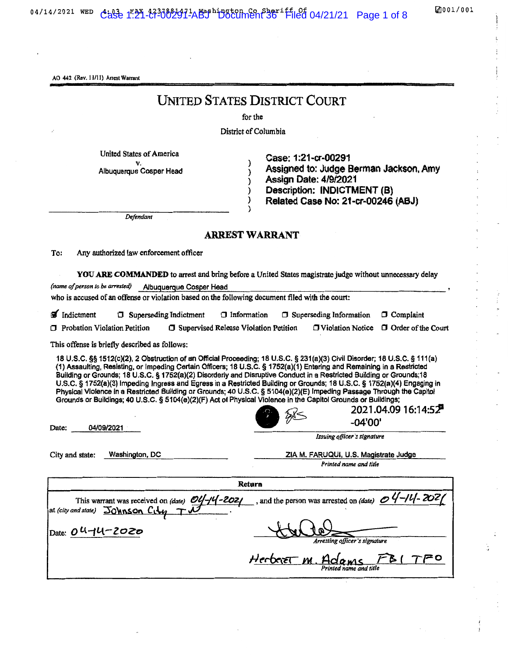AO 442 (Rev. 11/11) Arrest Warrant

# UNITED STATES DISTRICT COURT

 $C_{2}$  1:21-cr-00291-abit Document 36  $\sim$ 

for the

District of Columbia

) ) ) ) ) )

United States of America v. Albuquerque Cosper Head

Case: 1:21-cr-00291 Assigned to: Judge Berman Jackson, Amy Assign Date: *41912021* Description: INDICTMENT (8) Related Case No: 21-cr-00246 (ASJ)

*Defendant*

#### ARREST WARRANT

To: Any authorized law enforcement officer

YOU ARE COMMANDED to arrest and bring before a United States magistrate judge without unnecessary delay (name of person to be arrested) Albuquerque Cosper Head who is accused of an offense or violation based on the following document filed with the court:

| Indictment                          | $\Box$ Superseding Indictment | $\Box$ Information                             | <b>Superseding Information</b> | $\Box$ Complaint                                 |
|-------------------------------------|-------------------------------|------------------------------------------------|--------------------------------|--------------------------------------------------|
| $\Box$ Probation Violation Petition |                               | <b>J</b> Supervised Release Violation Petition |                                | $\Box$ Violation Notice $\Box$ Order of the Cour |

This offense is briefly described as follows:

18 U.S.C. §§ 1512(c)(2), 2 Obstruction of an Official Proceeding; 18 U.S.C. § 231(a)(3) Civil Disorder; 18 U.S.C. § 111(a) (1) Assaulting, Resisting, or Impeding Certain Officers; 18 U.S.C. § 1752(8)(1) Entering and Remaining in a Restricted Building or Grounds; 18 U.S.C. § 1752(a)(2) Disorderly and Disruptive Conduct in a Restricted Building or Grounds;18 U.S.C. § 1752(8)(3) Impeding Ingress and Egress in a Restricted Building or Grounds; 18 U.S.C. § 1752(a)(4) Engaging in Physical Violence in a Restricted Building or Grounds; 40 U.S.C. § 5104(e)(2)(E) Impeding Passage Through the Capitol Grounds or Buildings; 40 U.S.C. §5104(e)(2)(F) Act of Physical Violence in the Capitol Grounds or Buildings;

•

Date: 04/09/2021

City and state: Washington, DC ZIA M. FARUQUI, U.S. Magistrate Judge *Printed name and title* 

*Issuing ojfiar 's signature*

*r;~ -04'00'*

2021.04.09 16:14:52

 $+$  tubel *Am!Sling office,. 's signature* Retura This warrant was received on *(date) OU-IU-2021* at *(city and slate)*  $\overline{\mathrm{J_0}}$ **MNSON**  $\mathrm{C_1}\downarrow$ Date: 0 U-1U-2020 , and the person was arrested on *(date) Herbert M. Adams FBI TFO Printed name and title*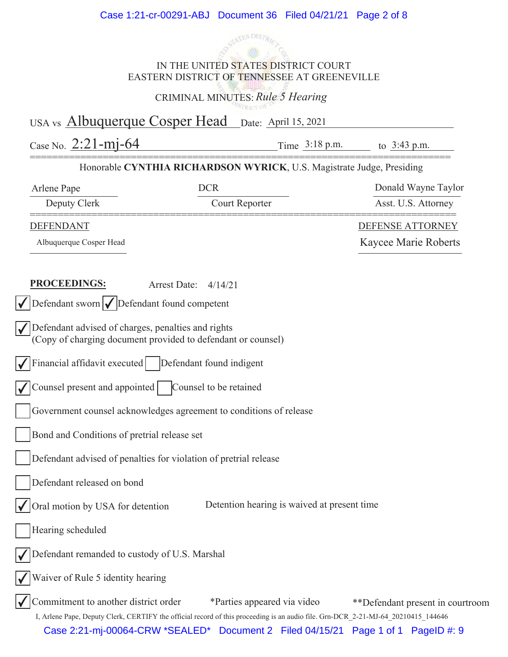

IN THE UNITED STATES DISTRICT COURT EASTERN DISTRICT OF TENNESSEE AT GREENEVILLE

CRIMINAL MINUTES: *Rule 5 Hearing*

USA vs **Albuquerque Cosper Head** Date: April 15, 2021

Case No.  $2:21-\text{mj}-64$  Time  $3:18 \text{ p.m.}$  to  $3:43 \text{ p.m.}$ 

#### =========================================================================== Honorable CYNTHIA RICHARDSON WYRICK, U.S. Magistrate Judge, Presiding

| Arlene Pape                                                                         | <b>DCR</b>                                                         |                                             | Donald Wayne Taylor                                                                                                               |
|-------------------------------------------------------------------------------------|--------------------------------------------------------------------|---------------------------------------------|-----------------------------------------------------------------------------------------------------------------------------------|
| Deputy Clerk                                                                        |                                                                    | Court Reporter                              | Asst. U.S. Attorney                                                                                                               |
| <b>DEFENDANT</b>                                                                    |                                                                    |                                             | <b>DEFENSE ATTORNEY</b>                                                                                                           |
| Albuquerque Cosper Head                                                             |                                                                    |                                             | Kaycee Marie Roberts                                                                                                              |
|                                                                                     |                                                                    |                                             |                                                                                                                                   |
| <b>PROCEEDINGS:</b>                                                                 | Arrest Date:<br>4/14/21                                            |                                             |                                                                                                                                   |
| $\sqrt{\frac{1}{1}}$ Defendant sworn $\sqrt{\frac{1}{1}}$ Defendant found competent |                                                                    |                                             |                                                                                                                                   |
| Defendant advised of charges, penalties and rights                                  |                                                                    |                                             |                                                                                                                                   |
|                                                                                     | (Copy of charging document provided to defendant or counsel)       |                                             |                                                                                                                                   |
|                                                                                     | Financial affidavit executed   Defendant found indigent            |                                             |                                                                                                                                   |
| Counsel present and appointed                                                       | Counsel to be retained                                             |                                             |                                                                                                                                   |
|                                                                                     | Government counsel acknowledges agreement to conditions of release |                                             |                                                                                                                                   |
| Bond and Conditions of pretrial release set                                         |                                                                    |                                             |                                                                                                                                   |
|                                                                                     | Defendant advised of penalties for violation of pretrial release   |                                             |                                                                                                                                   |
| Defendant released on bond                                                          |                                                                    |                                             |                                                                                                                                   |
| Oral motion by USA for detention                                                    |                                                                    | Detention hearing is waived at present time |                                                                                                                                   |
| Hearing scheduled                                                                   |                                                                    |                                             |                                                                                                                                   |
| √ Defendant remanded to custody of U.S. Marshal                                     |                                                                    |                                             |                                                                                                                                   |
| Waiver of Rule 5 identity hearing                                                   |                                                                    |                                             |                                                                                                                                   |
| Commitment to another district order                                                |                                                                    | *Parties appeared via video                 | **Defendant present in courtroom                                                                                                  |
|                                                                                     |                                                                    |                                             | I, Arlene Pape, Deputy Clerk, CERTIFY the official record of this proceeding is an audio file. Grn-DCR_2-21-MJ-64_20210415_144646 |
|                                                                                     |                                                                    |                                             | Case 2:21-mj-00064-CRW *SEALED* Document 2 Filed 04/15/21 Page 1 of 1 PageID #: 9                                                 |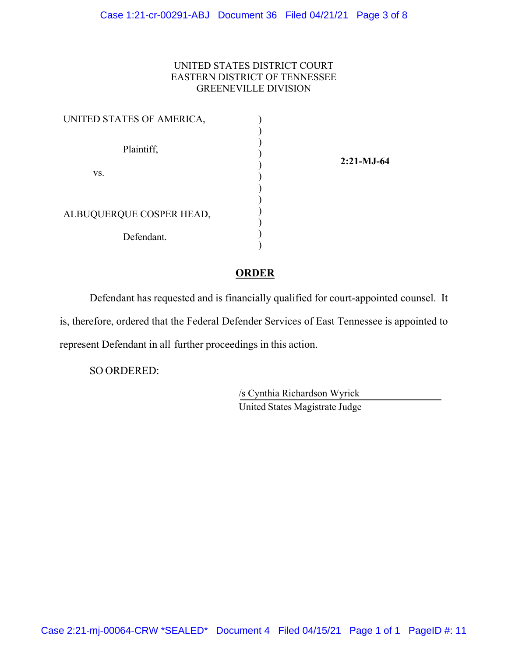#### UNITED STATES DISTRICT COURT EASTERN DISTRICT OF TENNESSEE GREENEVILLE DIVISION

| UNITED STATES OF AMERICA, |  |
|---------------------------|--|
| Plaintiff,                |  |
| VS.                       |  |
| ALBUQUERQUE COSPER HEAD,  |  |
| Defendant.                |  |

**2:21-MJ-64** 

#### **ORDER**

Defendant has requested and is financially qualified for court-appointed counsel. It is, therefore, ordered that the Federal Defender Services of East Tennessee is appointed to represent Defendant in all further proceedings in this action.

SO ORDERED:

 /s Cynthia Richardson Wyrick United States Magistrate Judge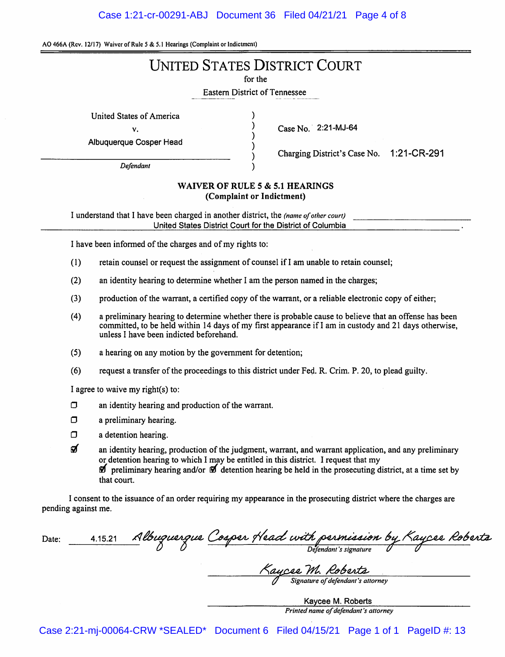#### Case 1:21-cr-00291-ABJ Document 36 Filed 04/21/21 Page 4 of 8

AO 466A (Rev. 12/17) Waiver of Rule 5 & 5.1 Hearings (Complaint or Indictment)

# **UNITED STATES DISTRICT COURT**

for the

**Eastern District of Tennessee** 

 $\lambda$ 

**United States of America** 

v.

Albuquerque Cosper Head

Defendant

Case No. 2:21-MJ-64

Charging District's Case No. 1:21-CR-291

#### WAIVER OF RULE 5 & 5.1 HEARINGS (Complaint or Indictment)

I understand that I have been charged in another district, the (name of other court) United States District Court for the District of Columbia

I have been informed of the charges and of my rights to:

- $(1)$ retain counsel or request the assignment of counsel if I am unable to retain counsel;
- $(2)$ an identity hearing to determine whether I am the person named in the charges;
- $(3)$ production of the warrant, a certified copy of the warrant, or a reliable electronic copy of either;
- a preliminary hearing to determine whether there is probable cause to believe that an offense has been  $(4)$ committed, to be held within 14 days of my first appearance if I am in custody and 21 days otherwise, unless I have been indicted beforehand.
- $(5)$ a hearing on any motion by the government for detention:
- $(6)$ request a transfer of the proceedings to this district under Fed. R. Crim. P. 20, to plead guilty.

I agree to waive my right(s) to:

- $\Box$ an identity hearing and production of the warrant.
- $\Box$ a preliminary hearing.
- $\Box$ a detention hearing.
- ର୍ଗ an identity hearing, production of the judgment, warrant, and warrant application, and any preliminary or detention hearing to which I may be entitled in this district. I request that my  $\mathcal{D}$  preliminary hearing and/or  $\mathcal{D}$  detention hearing be held in the prosecuting district, at a time set by that court.

I consent to the issuance of an order requiring my appearance in the prosecuting district where the charges are pending against me.

<u>4.15.21 Albuguergue Cosper Head with permission by Kaycee Roberta</u> Date:

<u>Kaycee M. Roberta</u><br>I Signature of defendani's attorney

Kaycee M. Roberts Printed name of defendant's attorney

Case 2:21-mj-00064-CRW \*SEALED\* Document 6 Filed 04/15/21 Page 1 of 1 PageID #: 13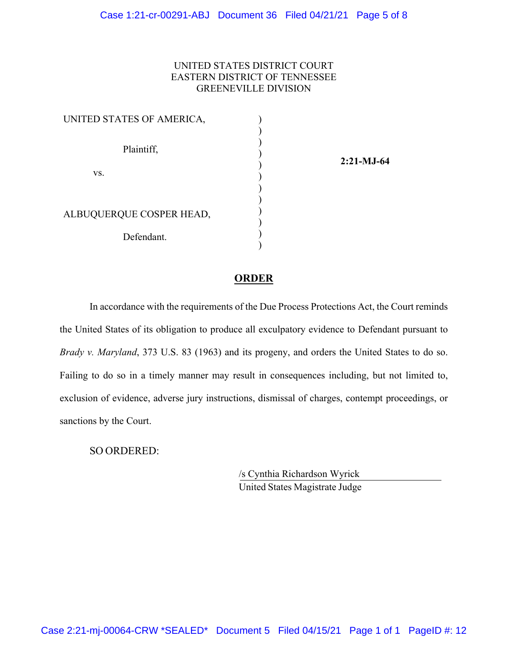#### UNITED STATES DISTRICT COURT EASTERN DISTRICT OF TENNESSEE GREENEVILLE DIVISION

| UNITED STATES OF AMERICA, |  |
|---------------------------|--|
| Plaintiff,                |  |
| VS.                       |  |
| ALBUQUERQUE COSPER HEAD,  |  |
| Defendant.                |  |

**2:21-MJ-64** 

#### **ORDER**

In accordance with the requirements of the Due Process Protections Act, the Court reminds the United States of its obligation to produce all exculpatory evidence to Defendant pursuant to *Brady v. Maryland*, 373 U.S. 83 (1963) and its progeny, and orders the United States to do so. Failing to do so in a timely manner may result in consequences including, but not limited to, exclusion of evidence, adverse jury instructions, dismissal of charges, contempt proceedings, or sanctions by the Court.

SO ORDERED:

 /s Cynthia Richardson Wyrick United States Magistrate Judge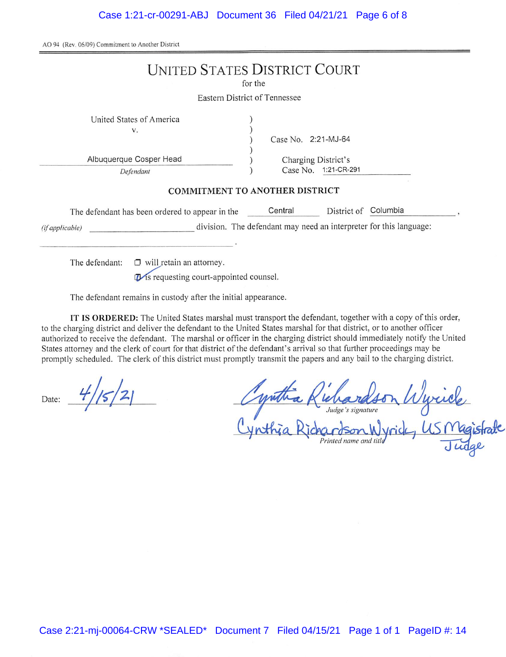AO 94 (Rev. 06/09) Commitment to Another District

|                                                           | <b>UNITED STATES DISTRICT COURT</b><br>for the                     |
|-----------------------------------------------------------|--------------------------------------------------------------------|
|                                                           | Eastern District of Tennessee                                      |
| United States of America<br>v.<br>Albuquerque Cosper Head | Case No. 2:21-MJ-64<br>Charging District's                         |
| Defendant                                                 | Case No. 1:21-CR-291                                               |
|                                                           | <b>COMMITMENT TO ANOTHER DISTRICT</b>                              |
| The defendant has been ordered to appear in the           | Columbia<br>Central<br>District of                                 |
| (if applicable)                                           | division. The defendant may need an interpreter for this language: |
| $\Box$ will retain an attorney<br>The defendant:          |                                                                    |

This requesting court-appointed counsel.

The defendant remains in custody after the initial appearance.

IT IS ORDERED: The United States marshal must transport the defendant, together with a copy of this order, to the charging district and deliver the defendant to the United States marshal for that district, or to another officer authorized to receive the defendant. The marshal or officer in the charging district should immediately notify the United States attorney and the clerk of court for that district of the defendant's arrival so that further proceedings may be promptly scheduled. The clerk of this district must promptly transmit the papers and any bail to the charging district.

Date:

wuck<br>USMagist

Printed name and title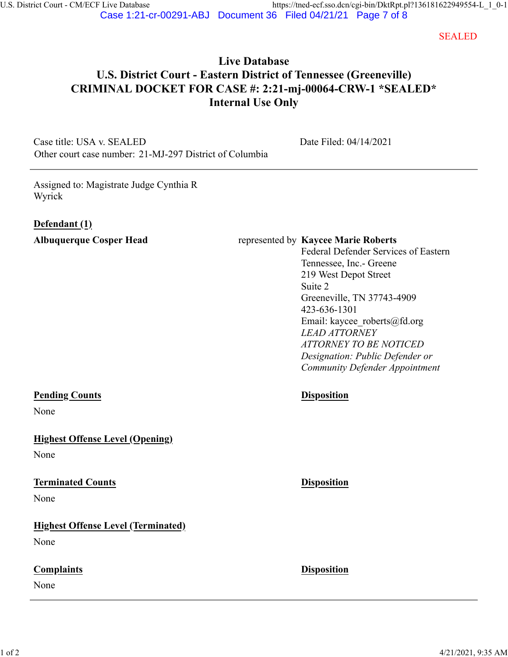SEALED

# **Live Database U.S. District Court - Eastern District of Tennessee (Greeneville) CRIMINAL DOCKET FOR CASE #: 2:21-mj-00064-CRW-1 \*SEALED\* Internal Use Only**

Case title: USA v. SEALED Other court case number: 21-MJ-297 District of Columbia Date Filed: 04/14/2021

Assigned to: Magistrate Judge Cynthia R Wyrick

#### **Defendant (1)**

#### **Albuquerque Cosper Head** represented by **Kaycee Marie Roberts**

Federal Defender Services of Eastern Tennessee, Inc.- Greene 219 West Depot Street Suite 2 Greeneville, TN 37743-4909 423-636-1301 Email: kaycee\_roberts@fd.org *LEAD ATTORNEY ATTORNEY TO BE NOTICED Designation: Public Defender or Community Defender Appointment*

## **Pending Counts Disposition**

None

**Highest Offense Level (Opening)**

None

#### **Terminated Counts Disposition**

None

## **Highest Offense Level (Terminated)**

None

## **Complaints Disposition**

None